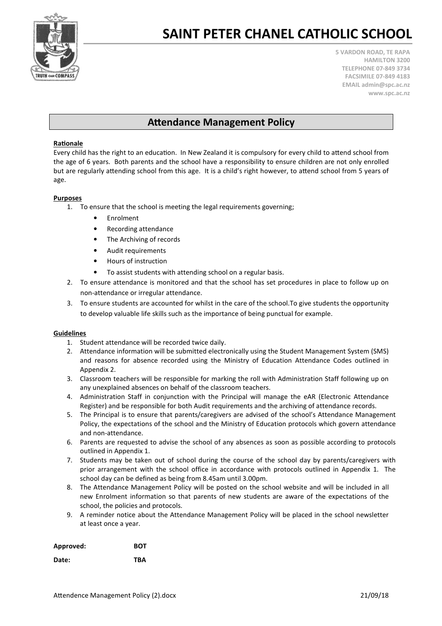

5 VARDON ROAD, TE RAPA HAMILTON 3200 TELEPHONE 07-849 3734 FACSIMILE 07-849 4183 EMAIL admin@spc.ac.nz www.spc.ac.nz

## **Attendance Management Policy**

### Rationale

Every child has the right to an education. In New Zealand it is compulsory for every child to attend school from the age of 6 years. Both parents and the school have a responsibility to ensure children are not only enrolled but are regularly attending school from this age. It is a child's right however, to attend school from 5 years of age.

#### Purposes

- 1. To ensure that the school is meeting the legal requirements governing;
	- Enrolment
	- Recording attendance
	- The Archiving of records
	- Audit requirements
	- Hours of instruction
	- To assist students with attending school on a regular basis.
- 2. To ensure attendance is monitored and that the school has set procedures in place to follow up on non-attendance or irregular attendance.
- 3. To ensure students are accounted for whilst in the care of the school.To give students the opportunity to develop valuable life skills such as the importance of being punctual for example.

#### Guidelines

- 1. Student attendance will be recorded twice daily.
- 2. Attendance information will be submitted electronically using the Student Management System (SMS) and reasons for absence recorded using the Ministry of Education Attendance Codes outlined in Appendix 2.
- 3. Classroom teachers will be responsible for marking the roll with Administration Staff following up on any unexplained absences on behalf of the classroom teachers.
- 4. Administration Staff in conjunction with the Principal will manage the eAR (Electronic Attendance Register) and be responsible for both Audit requirements and the archiving of attendance records.
- 5. The Principal is to ensure that parents/caregivers are advised of the school's Attendance Management Policy, the expectations of the school and the Ministry of Education protocols which govern attendance and non-attendance.
- 6. Parents are requested to advise the school of any absences as soon as possible according to protocols outlined in Appendix 1.
- 7. Students may be taken out of school during the course of the school day by parents/caregivers with prior arrangement with the school office in accordance with protocols outlined in Appendix 1. The school day can be defined as being from 8.45am until 3.00pm.
- 8. The Attendance Management Policy will be posted on the school website and will be included in all new Enrolment information so that parents of new students are aware of the expectations of the school, the policies and protocols.
- 9. A reminder notice about the Attendance Management Policy will be placed in the school newsletter at least once a year.

| Approved: | <b>BOT</b> |
|-----------|------------|
| Date:     | <b>TBA</b> |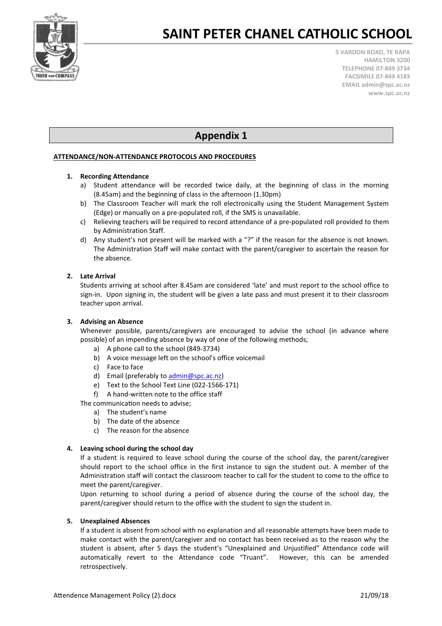

5 VARDON ROAD, TE RAPA HAMILTON 3200 TELEPHONE 07-849 3734 FACSIMILE 07-849 4183 EMAIL admin@spc.ac.nz www.spc.ac.nz

# Appendix 1

### ATTENDANCE/NON-ATTENDANCE PROTOCOLS AND PROCEDURES

### 1. Recording Attendance

- a) Student attendance will be recorded twice daily, at the beginning of class in the morning (8.45am) and the beginning of class in the afternoon (1.30pm)
- b) The Classroom Teacher will mark the roll electronically using the Student Management System (Edge) or manually on a pre-populated roll, if the SMS is unavailable.
- c) Relieving teachers will be required to record attendance of a pre-populated roll provided to them by Administration Staff.
- d) Any student's not present will be marked with a "?" if the reason for the absence is not known. The Administration Staff will make contact with the parent/caregiver to ascertain the reason for the absence.

### 2. Late Arrival

Students arriving at school after 8.45am are considered 'late' and must report to the school office to sign-in. Upon signing in, the student will be given a late pass and must present it to their classroom teacher upon arrival.

#### 3. Advising an Absence

Whenever possible, parents/caregivers are encouraged to advise the school (in advance where possible) of an impending absence by way of one of the following methods;

- a) A phone call to the school (849-3734)
- b) A voice message left on the school's office voicemail
- c) Face to face
- d) Email (preferably to admin@spc.ac.nz)
- e) Text to the School Text Line (022-1566-171)
- f) A hand-written note to the office staff
- The communication needs to advise:
	- a) The student's name
	- b) The date of the absence
	- c) The reason for the absence

#### 4. Leaving school during the school day

If a student is required to leave school during the course of the school day, the parent/caregiver should report to the school office in the first instance to sign the student out. A member of the Administration staff will contact the classroom teacher to call for the student to come to the office to meet the parent/caregiver.

Upon returning to school during a period of absence during the course of the school day, the parent/caregiver should return to the office with the student to sign the student in.

#### 5. Unexplained Absences

If a student is absent from school with no explanation and all reasonable attempts have been made to make contact with the parent/caregiver and no contact has been received as to the reason why the student is absent, after 5 days the student's "Unexplained and Unjustified" Attendance code will automatically revert to the Attendance code "Truant". However, this can be amended retrospectively.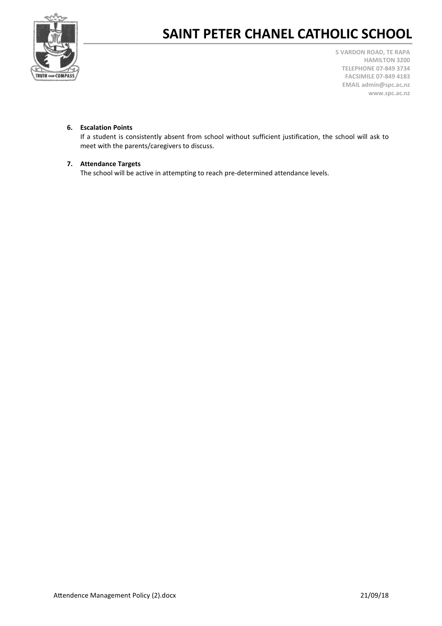

5 VARDON ROAD, TE RAPA HAMILTON 3200 TELEPHONE 07-849 3734 FACSIMILE 07-849 4183 EMAIL admin@spc.ac.nz www.spc.ac.nz

## 6. Escalation Points

If a student is consistently absent from school without sufficient justification, the school will ask to meet with the parents/caregivers to discuss.

#### 7. Attendance Targets

The school will be active in attempting to reach pre-determined attendance levels.